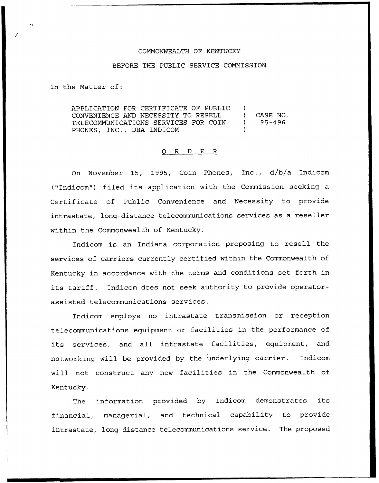## COMMONWEALTH OF KENTUCKY

## BEFORE THE PUBLIC SERVICE COMMISSION

In the Matter of:

APPLICATION FOR CERTIFICATE OF PUBLIC )<br>CONVENIENCE AND NECESSITY TO RESELL CONVENIENCE AND NECESSITY TO RESELL ) CASE NO. TELECOMMUNICATIONS SERVICES FOR COIN PHONES, INC., DBA INDICOM

## 0 R <sup>D</sup> E R

On November 15, 1995, Coin Phones, Inc., d/b/a Indicom ("Indicom") filed its application with the Commission seeking <sup>a</sup> Certificate of Public Convenience and Necessity to provide intrastate, long-distance telecommunications services as a reseller within the Commonwealth of Kentucky,

Indicom is an Indiana corporation proposing to resell the services of carriers currently certified within the Commonwealth of Kentucky in accordance with the terms and conditions set forth in its tariff. Indicom does not seek authority to provide operatorassisted telecommunications services.

Indicom employs no intrastate transmission or reception telecommunications equipment or facilities in the performance of its services, and all intrastate facilities, equipment, and networking will be provided by the underlying carrier. Indicom will not construct any new facilities in the Commonwealth of Kentucky.

The information provided by Indicom demonstrates its financial, managerial, and technical capability to provide intrastate, long-distance telecommunications service. The proposed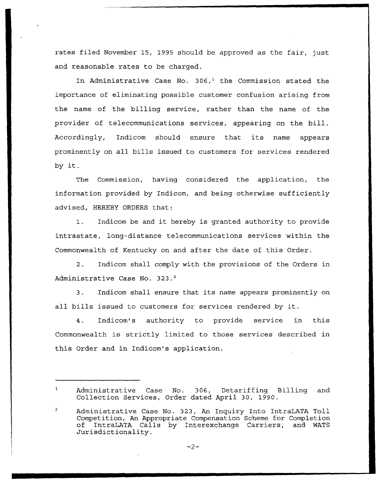rates filed November 15, 1995 should be approved as the fair, just and reasonable rates to be charged.

In Administrative Case No.  $306<sup>1</sup>$  the Commission stated the importance of eliminating possible customer confusion arising from the name of the billing service, rather than the name of the provider of telecommunications services, appearing on the bill. Accordingly, Indicom should ensure that its name appears prominently on all bills issued to customers for services rendered by it.

The Commission, having considered the application, the information provided by Indicom, and being otherwise sufficiently advised, HEREBY ORDERS that:

1. Indicom be and it hereby is granted authority to provide intrastate, long-distance telecommunications services within the Commonwealth of Kentucky on and after the date of this Order.

2. Indicom shall comply with the provisions of the Orders in Administrative Case No. 323.<sup>2</sup>

Indicom shall ensure that its name appears prominently on  $3.$ all bills issued to customers for services rendered by it.

4. Indicom's authority to provide service in this Commonwealth is strictly limited to those services described in this Order and in Indicom's application.

 $-2-$ 

Administrative Case No. 306, Detariffing Billing and Collection Services, Order dated April 30, 1990.

Administrative Case No. 323, An Inquiry Into IntraLATA Toll Competition, An Appropriate Compensation Scheme for Completion of IntraLATA Calls by Interexchange Carriers, and MATS Jurisdictionality.